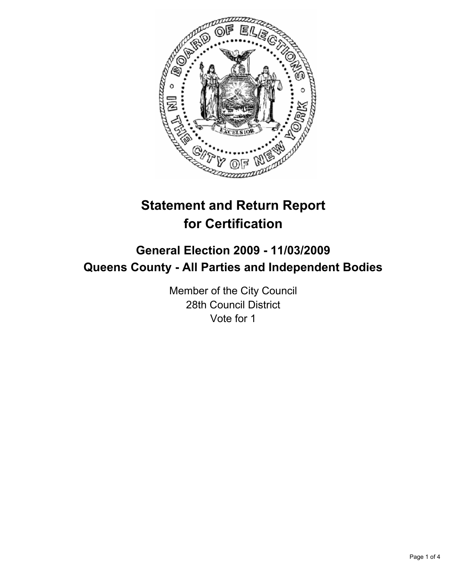

# **Statement and Return Report for Certification**

## **General Election 2009 - 11/03/2009 Queens County - All Parties and Independent Bodies**

Member of the City Council 28th Council District Vote for 1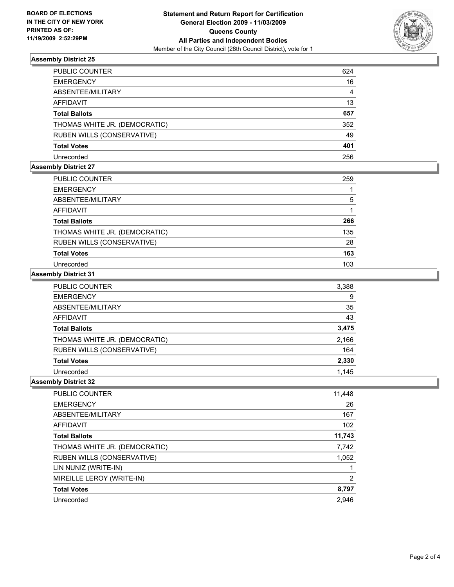

## **Assembly District 25**

| PUBLIC COUNTER                | 624 |
|-------------------------------|-----|
| <b>EMERGENCY</b>              | 16  |
| ABSENTEE/MILITARY             | 4   |
| AFFIDAVIT                     | 13  |
| <b>Total Ballots</b>          | 657 |
| THOMAS WHITE JR. (DEMOCRATIC) | 352 |
| RUBEN WILLS (CONSERVATIVE)    | 49  |
| <b>Total Votes</b>            | 401 |
| Unrecorded                    | 256 |

## **Assembly District 27**

| PUBLIC COUNTER                | 259 |
|-------------------------------|-----|
| <b>EMERGENCY</b>              |     |
| ABSENTEE/MILITARY             | 5   |
| AFFIDAVIT                     |     |
| <b>Total Ballots</b>          | 266 |
| THOMAS WHITE JR. (DEMOCRATIC) | 135 |
| RUBEN WILLS (CONSERVATIVE)    | 28  |
| <b>Total Votes</b>            | 163 |
| Unrecorded                    | 103 |

#### **Assembly District 31**

| PUBLIC COUNTER                | 3,388 |
|-------------------------------|-------|
| <b>EMERGENCY</b>              | 9     |
| ABSENTEE/MILITARY             | 35    |
| <b>AFFIDAVIT</b>              | 43    |
| <b>Total Ballots</b>          | 3,475 |
| THOMAS WHITE JR. (DEMOCRATIC) | 2,166 |
| RUBEN WILLS (CONSERVATIVE)    | 164   |
| <b>Total Votes</b>            | 2,330 |
| Unrecorded                    | 1.145 |

#### **Assembly District 32**

| <b>PUBLIC COUNTER</b>         | 11,448 |
|-------------------------------|--------|
| <b>EMERGENCY</b>              | 26     |
| ABSENTEE/MILITARY             | 167    |
| AFFIDAVIT                     | 102    |
| <b>Total Ballots</b>          | 11,743 |
| THOMAS WHITE JR. (DEMOCRATIC) | 7,742  |
| RUBEN WILLS (CONSERVATIVE)    | 1,052  |
| LIN NUNIZ (WRITE-IN)          |        |
| MIREILLE LEROY (WRITE-IN)     | 2      |
| <b>Total Votes</b>            | 8,797  |
| Unrecorded                    | 2.946  |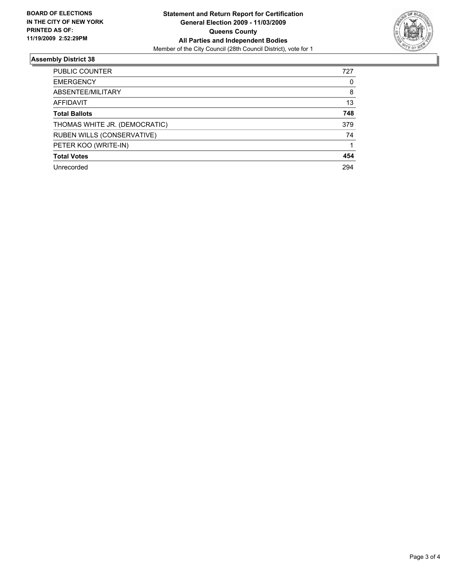

## **Assembly District 38**

| <b>PUBLIC COUNTER</b>         | 727 |
|-------------------------------|-----|
| <b>EMERGENCY</b>              | 0   |
| ABSENTEE/MILITARY             | 8   |
| <b>AFFIDAVIT</b>              | 13  |
| <b>Total Ballots</b>          | 748 |
| THOMAS WHITE JR. (DEMOCRATIC) | 379 |
| RUBEN WILLS (CONSERVATIVE)    | 74  |
| PETER KOO (WRITE-IN)          |     |
| <b>Total Votes</b>            | 454 |
| Unrecorded                    | 294 |